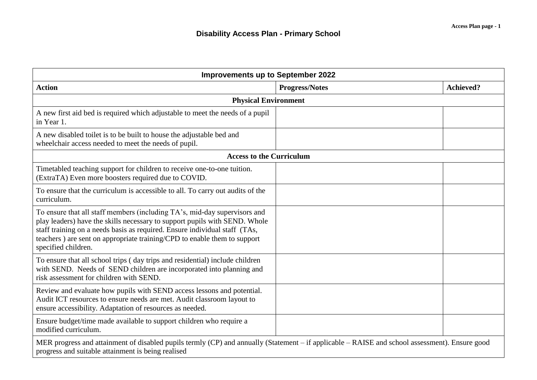| <b>Improvements up to September 2022</b>                                                                                                                                                                                                                                                                                                 |                       |                  |  |  |
|------------------------------------------------------------------------------------------------------------------------------------------------------------------------------------------------------------------------------------------------------------------------------------------------------------------------------------------|-----------------------|------------------|--|--|
| <b>Action</b>                                                                                                                                                                                                                                                                                                                            | <b>Progress/Notes</b> | <b>Achieved?</b> |  |  |
| <b>Physical Environment</b>                                                                                                                                                                                                                                                                                                              |                       |                  |  |  |
| A new first aid bed is required which adjustable to meet the needs of a pupil<br>in Year 1.                                                                                                                                                                                                                                              |                       |                  |  |  |
| A new disabled toilet is to be built to house the adjustable bed and<br>wheelchair access needed to meet the needs of pupil.                                                                                                                                                                                                             |                       |                  |  |  |
| <b>Access to the Curriculum</b>                                                                                                                                                                                                                                                                                                          |                       |                  |  |  |
| Timetabled teaching support for children to receive one-to-one tuition.<br>(ExtraTA) Even more boosters required due to COVID.                                                                                                                                                                                                           |                       |                  |  |  |
| To ensure that the curriculum is accessible to all. To carry out audits of the<br>curriculum.                                                                                                                                                                                                                                            |                       |                  |  |  |
| To ensure that all staff members (including TA's, mid-day supervisors and<br>play leaders) have the skills necessary to support pupils with SEND. Whole<br>staff training on a needs basis as required. Ensure individual staff (TAs,<br>teachers) are sent on appropriate training/CPD to enable them to support<br>specified children. |                       |                  |  |  |
| To ensure that all school trips (day trips and residential) include children<br>with SEND. Needs of SEND children are incorporated into planning and<br>risk assessment for children with SEND.                                                                                                                                          |                       |                  |  |  |
| Review and evaluate how pupils with SEND access lessons and potential.<br>Audit ICT resources to ensure needs are met. Audit classroom layout to<br>ensure accessibility. Adaptation of resources as needed.                                                                                                                             |                       |                  |  |  |
| Ensure budget/time made available to support children who require a<br>modified curriculum.                                                                                                                                                                                                                                              |                       |                  |  |  |
| MER progress and attainment of disabled pupils termly (CP) and annually (Statement – if applicable – RAISE and school assessment). Ensure good<br>progress and suitable attainment is being realised                                                                                                                                     |                       |                  |  |  |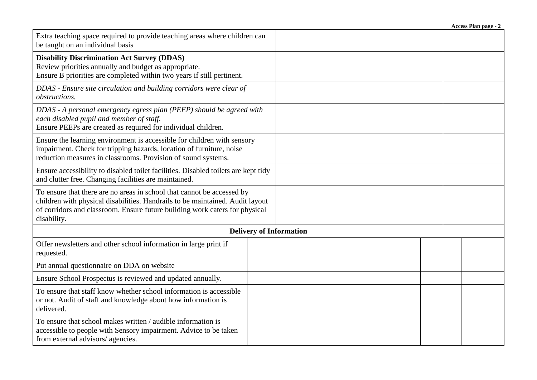|                                                                                                                                                                                                                                                       |  | Access Plan page - 2 |  |  |
|-------------------------------------------------------------------------------------------------------------------------------------------------------------------------------------------------------------------------------------------------------|--|----------------------|--|--|
| Extra teaching space required to provide teaching areas where children can<br>be taught on an individual basis                                                                                                                                        |  |                      |  |  |
| <b>Disability Discrimination Act Survey (DDAS)</b><br>Review priorities annually and budget as appropriate.<br>Ensure B priorities are completed within two years if still pertinent.                                                                 |  |                      |  |  |
| DDAS - Ensure site circulation and building corridors were clear of<br>obstructions.                                                                                                                                                                  |  |                      |  |  |
| DDAS - A personal emergency egress plan (PEEP) should be agreed with<br>each disabled pupil and member of staff.<br>Ensure PEEPs are created as required for individual children.                                                                     |  |                      |  |  |
| Ensure the learning environment is accessible for children with sensory<br>impairment. Check for tripping hazards, location of furniture, noise<br>reduction measures in classrooms. Provision of sound systems.                                      |  |                      |  |  |
| Ensure accessibility to disabled toilet facilities. Disabled toilets are kept tidy<br>and clutter free. Changing facilities are maintained.                                                                                                           |  |                      |  |  |
| To ensure that there are no areas in school that cannot be accessed by<br>children with physical disabilities. Handrails to be maintained. Audit layout<br>of corridors and classroom. Ensure future building work caters for physical<br>disability. |  |                      |  |  |
| <b>Delivery of Information</b>                                                                                                                                                                                                                        |  |                      |  |  |
| Offer newsletters and other school information in large print if<br>requested.                                                                                                                                                                        |  |                      |  |  |
| Put annual questionnaire on DDA on website                                                                                                                                                                                                            |  |                      |  |  |
| Ensure School Prospectus is reviewed and updated annually.                                                                                                                                                                                            |  |                      |  |  |
| To ensure that staff know whether school information is accessible<br>or not. Audit of staff and knowledge about how information is<br>delivered.                                                                                                     |  |                      |  |  |
| To ensure that school makes written / audible information is<br>accessible to people with Sensory impairment. Advice to be taken<br>from external advisors/ agencies.                                                                                 |  |                      |  |  |